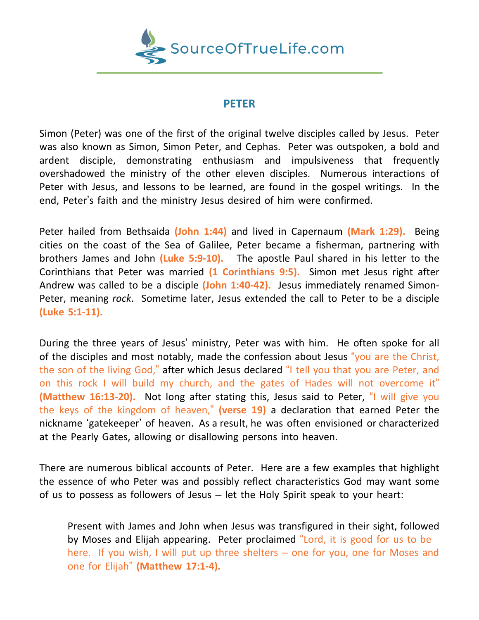

## **PETER**

Simon (Peter) was one of the first of the original twelve disciples called by Jesus. Peter was also known as Simon, Simon Peter, and Cephas. Peter was outspoken, a bold and ardent disciple, demonstrating enthusiasm and impulsiveness that frequently overshadowed the ministry of the other eleven disciples. Numerous interactions of Peter with Jesus, and lessons to be learned, are found in the gospel writings. In the end, Peter's faith and the ministry Jesus desired of him were confirmed.

Peter hailed from Bethsaida **(John 1:44)** and lived in Capernaum **(Mark 1:29).** Being cities on the coast of the Sea of Galilee, Peter became a fisherman, partnering with brothers James and John **(Luke 5:9-10).** The apostle Paul shared in his letter to the Corinthians that Peter was married **(1 Corinthians 9:5).** Simon met Jesus right after Andrew was called to be a disciple **(John 1:40-42).** Jesus immediately renamed Simon-Peter, meaning *rock*. Sometime later, Jesus extended the call to Peter to be a disciple **(Luke 5:1-11).**

During the three years of Jesus' ministry, Peter was with him. He often spoke for all of the disciples and most notably, made the confession about Jesus "you are the Christ, the son of the living God," after which Jesus declared "I tell you that you are Peter, and on this rock I will build my church, and the gates of Hades will not overcome it" **(Matthew 16:13-20).** Not long after stating this, Jesus said to Peter, "I will give you the keys of the kingdom of heaven," **(verse 19)** a declaration that earned Peter the nickname 'gatekeeper' of heaven. As a result, he was often envisioned or characterized at the Pearly Gates, allowing or disallowing persons into heaven.

There are numerous biblical accounts of Peter. Here are a few examples that highlight the essence of who Peter was and possibly reflect characteristics God may want some of us to possess as followers of Jesus – let the Holy Spirit speak to your heart:

Present with James and John when Jesus was transfigured in their sight, followed by Moses and Elijah appearing. Peter proclaimed "Lord, it is good for us to be here. If you wish, I will put up three shelters – one for you, one for Moses and one for Elijah" **(Matthew 17:1-4).**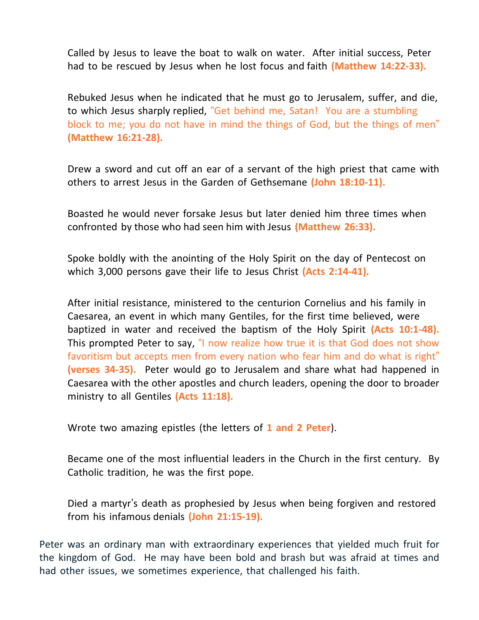Called by Jesus to leave the boat to walk on water. After initial success, Peter had to be rescued by Jesus when he lost focus and faith **(Matthew 14:22-33).**

Rebuked Jesus when he indicated that he must go to Jerusalem, suffer, and die, to which Jesus sharply replied, "Get behind me, Satan! You are a stumbling block to me; you do not have in mind the things of God, but the things of men" **(Matthew 16:21-28).**

Drew a sword and cut off an ear of a servant of the high priest that came with others to arrest Jesus in the Garden of Gethsemane **(John 18:10-11).**

Boasted he would never forsake Jesus but later denied him three times when confronted by those who had seen him with Jesus **(Matthew 26:33).**

Spoke boldly with the anointing of the Holy Spirit on the day of Pentecost on which 3,000 persons gave their life to Jesus Christ **(Acts 2:14-41).**

After initial resistance, ministered to the centurion Cornelius and his family in Caesarea, an event in which many Gentiles, for the first time believed, were baptized in water and received the baptism of the Holy Spirit **(Acts 10:1-48).** This prompted Peter to say, "I now realize how true it is that God does not show favoritism but accepts men from every nation who fear him and do what is right" **(verses 34-35).** Peter would go to Jerusalem and share what had happened in Caesarea with the other apostles and church leaders, opening the door to broader ministry to all Gentiles **(Acts 11:18).**

Wrote two amazing epistles (the letters of **1 and 2 Peter**).

Became one of the most influential leaders in the Church in the first century. By Catholic tradition, he was the first pope.

Died a martyr's death as prophesied by Jesus when being forgiven and restored from his infamous denials **(John 21:15-19).**

Peter was an ordinary man with extraordinary experiences that yielded much fruit for the kingdom of God. He may have been bold and brash but was afraid at times and had other issues, we sometimes experience, that challenged his faith.